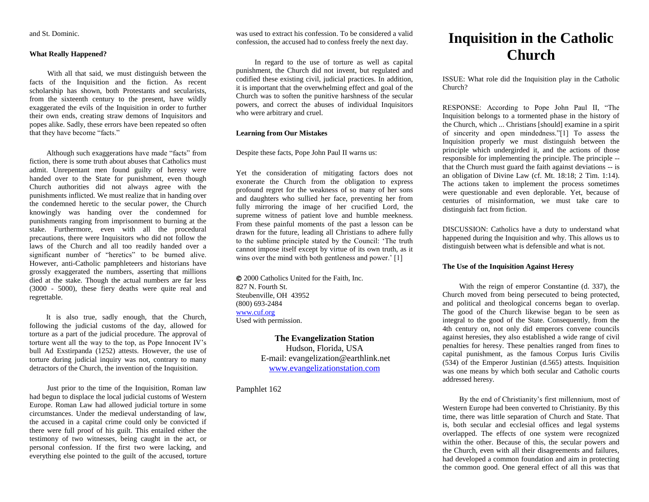and St. Dominic.

### **What Really Happened?**

 With all that said, we must distinguish between the facts of the Inquisition and the fiction. As recent scholarship has shown, both Protestants and secularists, from the sixteenth century to the present, have wildly exaggerated the evils of the Inquisition in order to further their own ends, creating straw demons of Inquisitors and popes alike. Sadly, these errors have been repeated so often that they have become "facts."

 Although such exaggerations have made "facts" from fiction, there is some truth about abuses that Catholics must admit. Unrepentant men found guilty of heresy were handed over to the State for punishment, even though Church authorities did not always agree with the punishments inflicted. We must realize that in handing over the condemned heretic to the secular power, the Church knowingly was handing over the condemned for punishments ranging from imprisonment to burning at the stake. Furthermore, even with all the procedural precautions, there were Inquisitors who did not follow the laws of the Church and all too readily handed over a significant number of "heretics" to be burned alive. However, anti-Catholic pamphleteers and historians have grossly exaggerated the numbers, asserting that millions died at the stake. Though the actual numbers are far less (3000 - 5000), these fiery deaths were quite real and regrettable.

 It is also true, sadly enough, that the Church, following the judicial customs of the day, allowed for torture as a part of the judicial procedure. The approval of torture went all the way to the top, as Pope Innocent IV's bull Ad Exstirpanda (1252) attests. However, the use of torture during judicial inquiry was not, contrary to many detractors of the Church, the invention of the Inquisition.

 Just prior to the time of the Inquisition, Roman law had begun to displace the local judicial customs of Western Europe. Roman Law had allowed judicial torture in some circumstances. Under the medieval understanding of law, the accused in a capital crime could only be convicted if there were full proof of his guilt. This entailed either the testimony of two witnesses, being caught in the act, or personal confession. If the first two were lacking, and everything else pointed to the guilt of the accused, torture

was used to extract his confession. To be considered a valid confession, the accused had to confess freely the next day.

 In regard to the use of torture as well as capital punishment, the Church did not invent, but regulated and codified these existing civil, judicial practices. In addition, it is important that the overwhelming effect and goal of the Church was to soften the punitive harshness of the secular powers, and correct the abuses of individual Inquisitors who were arbitrary and cruel.

# **Learning from Our Mistakes**

Despite these facts, Pope John Paul II warns us:

Yet the consideration of mitigating factors does not exonerate the Church from the obligation to express profound regret for the weakness of so many of her sons and daughters who sullied her face, preventing her from fully mirroring the image of her crucified Lord, the supreme witness of patient love and humble meekness. From these painful moments of the past a lesson can be drawn for the future, leading all Christians to adhere fully to the sublime principle stated by the Council: 'The truth cannot impose itself except by virtue of its own truth, as it wins over the mind with both gentleness and power.' [1]

 2000 Catholics United for the Faith, Inc. 827 N. Fourth St. Steubenville, OH 43952 (800) 693-2484 [www.cuf.org](http://www.cuf.org/) Used with permission.

# **The Evangelization Station**

Hudson, Florida, USA E-mail: evangelization@earthlink.net [www.evangelizationstation.com](http://www.pjpiisoe.org/)

Pamphlet 162

# **Inquisition in the Catholic Church**

ISSUE: What role did the Inquisition play in the Catholic Church?

RESPONSE: According to Pope John Paul II, "The Inquisition belongs to a tormented phase in the history of the Church, which ... Christians [should] examine in a spirit of sincerity and open mindedness."[1] To assess the Inquisition properly we must distinguish between the principle which undergirded it, and the actions of those responsible for implementing the principle. The principle - that the Church must guard the faith against deviations -- is an obligation of Divine Law (cf. Mt. 18:18; 2 Tim. 1:14). The actions taken to implement the process sometimes were questionable and even deplorable. Yet, because of centuries of misinformation, we must take care to distinguish fact from fiction.

DISCUSSION: Catholics have a duty to understand what happened during the Inquisition and why. This allows us to distinguish between what is defensible and what is not.

## **The Use of the Inquisition Against Heresy**

 With the reign of emperor Constantine (d. 337), the Church moved from being persecuted to being protected, and political and theological concerns began to overlap. The good of the Church likewise began to be seen as integral to the good of the State. Consequently, from the 4th century on, not only did emperors convene councils against heresies, they also established a wide range of civil penalties for heresy. These penalties ranged from fines to capital punishment, as the famous Corpus Iuris Civilis (534) of the Emperor Justinian (d.565) attests. Inquisition was one means by which both secular and Catholic courts addressed heresy.

 By the end of Christianity's first millennium, most of Western Europe had been converted to Christianity. By this time, there was little separation of Church and State. That is, both secular and ecclesial offices and legal systems overlapped. The effects of one system were recognized within the other. Because of this, the secular powers and the Church, even with all their disagreements and failures, had developed a common foundation and aim in protecting the common good. One general effect of all this was that